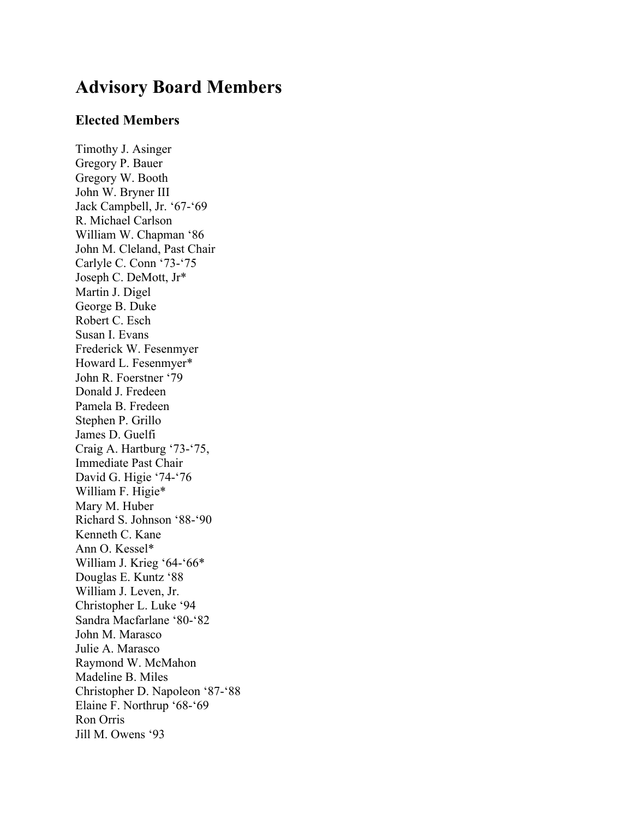# **Advisory Board Members**

## **Elected Members**

Timothy J. Asinger Gregory P. Bauer Gregory W. Booth John W. Bryner III Jack Campbell, Jr. '67-'69 R. Michael Carlson William W. Chapman '86 John M. Cleland, Past Chair Carlyle C. Conn '73-'75 Joseph C. DeMott, Jr\* Martin J. Digel George B. Duke Robert C. Esch Susan I. Evans Frederick W. Fesenmyer Howard L. Fesenmyer\* John R. Foerstner '79 Donald J. Fredeen Pamela B. Fredeen Stephen P. Grillo James D. Guelfi Craig A. Hartburg '73-'75, Immediate Past Chair David G. Higie '74-'76 William F. Higie\* Mary M. Huber Richard S. Johnson '88-'90 Kenneth C. Kane Ann O. Kessel\* William J. Krieg '64-'66\* Douglas E. Kuntz '88 William J. Leven, Jr. Christopher L. Luke '94 Sandra Macfarlane '80-'82 John M. Marasco Julie A. Marasco Raymond W. McMahon Madeline B. Miles Christopher D. Napoleon '87-'88 Elaine F. Northrup '68-'69 Ron Orris Jill M. Owens '93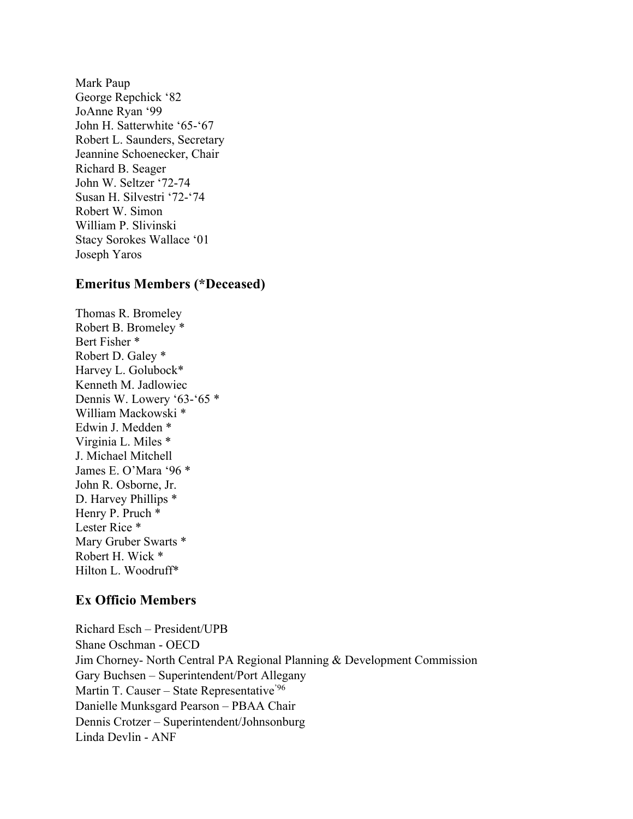Robert L. Saunders, Secretary Mark Paup George Repchick '82 JoAnne Ryan '99 John H. Satterwhite '65-'67 Jeannine Schoenecker, Chair Richard B. Seager John W. Seltzer '72-74 Susan H. Silvestri '72-'74 Robert W. Simon William P. Slivinski Stacy Sorokes Wallace '01 Joseph Yaros

#### **Emeritus Members (\*Deceased)**

 Henry P. Pruch \* Thomas R. Bromeley Robert B. Bromeley \* Bert Fisher \* Robert D. Galey \* Harvey L. Golubock\* Kenneth M. Jadlowiec Dennis W. Lowery '63-'65 \* William Mackowski \* Edwin J. Medden \* Virginia L. Miles \* J. Michael Mitchell James E. O'Mara '96 \* John R. Osborne, Jr. D. Harvey Phillips \* Lester Rice \* Mary Gruber Swarts \* Robert H. Wick \* Hilton L. Woodruff\*

## **Ex Officio Members**

 Linda Devlin - ANF Richard Esch – President/UPB Shane Oschman - OECD Jim Chorney- North Central PA Regional Planning & Development Commission Gary Buchsen – Superintendent/Port Allegany Martin T. Causer – State Representative<sup>'96</sup> Danielle Munksgard Pearson – PBAA Chair Dennis Crotzer – Superintendent/Johnsonburg